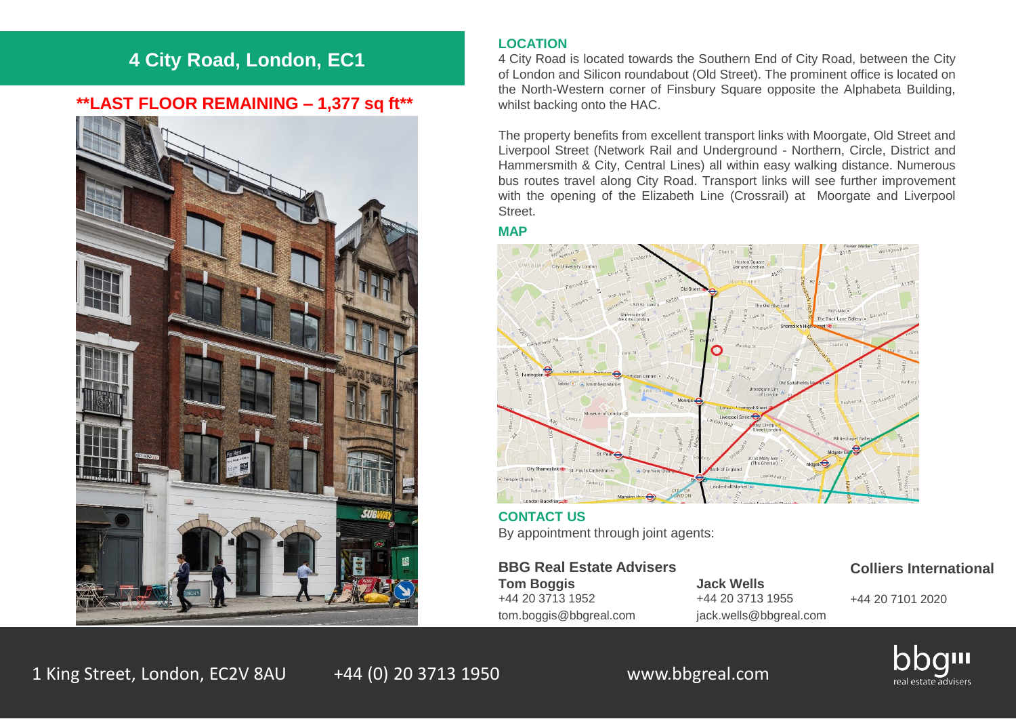# **4 City Road, London, EC1**

## **\*\*LAST FLOOR REMAINING – 1,377 sq ft\*\***



### **LOCATION**

4 City Road is located towards the Southern End of City Road, between the City of London and Silicon roundabout (Old Street). The prominent office is located on the North-Western corner of Finsbury Square opposite the Alphabeta Building, whilst backing onto the HAC.

The property benefits from excellent transport links with Moorgate, Old Street and Liverpool Street (Network Rail and Underground - Northern, Circle, District and Hammersmith & City, Central Lines) all within easy walking distance. Numerous bus routes travel along City Road. Transport links will see further improvement with the opening of the Elizabeth Line (Crossrail) at Moorgate and Liverpool Street.

### **MAP**



**CONTACT US** By appointment through joint agents:

**BBG Real Estate Advisers Tom Boggis Jack Wells**

+44 20 3713 1952 +44 20 3713 1955 tom.boggis@bbgreal.com jack.wells@bbgreal.com

### **Colliers International**

+44 20 7101 2020



1 King Street, London, EC2V 8AU +44 (0) 20 3713 1950 www.bbgreal.com